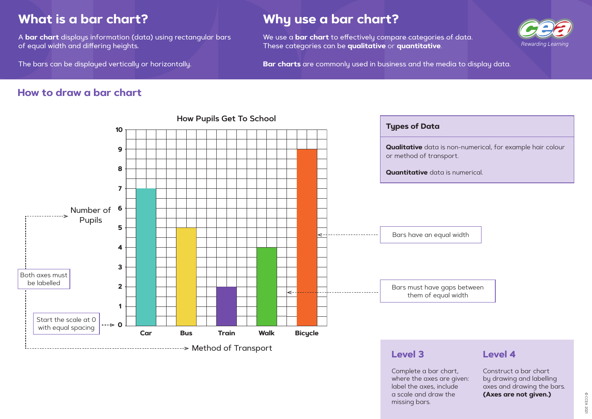CCEA 2021 © CCEA 2021

**Qualitative** data is non-numerical, for example hair colour

# **What is a bar chart?**

A **bar chart** displays information (data) using rectangular bars of equal width and differing heights.

The bars can be displayed vertically or horizontally.

# **Why use a bar chart?**

We use a **bar chart** to effectively compare categories of data. These categories can be **qualitative** or **quantitative**.

**Bar charts** are commonly used in business and the media to display data.

## **How to draw a bar chart**



Complete a bar chart, where the axes are given: label the axes, include a scale and draw the missing bars.



### **Level 4**

Construct a bar chart by drawing and labelling axes and drawing the bars. **(Axes are not given.)**